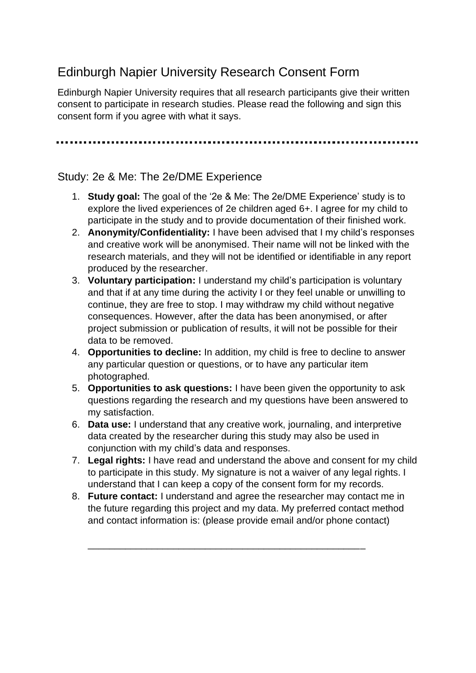## Edinburgh Napier University Research Consent Form

Edinburgh Napier University requires that all research participants give their written consent to participate in research studies. Please read the following and sign this consent form if you agree with what it says.

## Study: 2e & Me: The 2e/DME Experience

- 1. **Study goal:** The goal of the '2e & Me: The 2e/DME Experience' study is to explore the lived experiences of 2e children aged 6+. I agree for my child to participate in the study and to provide documentation of their finished work.
- 2. **Anonymity/Confidentiality:** I have been advised that I my child's responses and creative work will be anonymised. Their name will not be linked with the research materials, and they will not be identified or identifiable in any report produced by the researcher.
- 3. **Voluntary participation:** I understand my child's participation is voluntary and that if at any time during the activity I or they feel unable or unwilling to continue, they are free to stop. I may withdraw my child without negative consequences. However, after the data has been anonymised, or after project submission or publication of results, it will not be possible for their data to be removed.
- 4. **Opportunities to decline:** In addition, my child is free to decline to answer any particular question or questions, or to have any particular item photographed.
- 5. **Opportunities to ask questions:** I have been given the opportunity to ask questions regarding the research and my questions have been answered to my satisfaction.
- 6. **Data use:** I understand that any creative work, journaling, and interpretive data created by the researcher during this study may also be used in conjunction with my child's data and responses.
- 7. **Legal rights:** I have read and understand the above and consent for my child to participate in this study. My signature is not a waiver of any legal rights. I understand that I can keep a copy of the consent form for my records.
- 8. **Future contact:** I understand and agree the researcher may contact me in the future regarding this project and my data. My preferred contact method and contact information is: (please provide email and/or phone contact)

\_\_\_\_\_\_\_\_\_\_\_\_\_\_\_\_\_\_\_\_\_\_\_\_\_\_\_\_\_\_\_\_\_\_\_\_\_\_\_\_\_\_\_\_\_\_\_\_\_\_\_\_